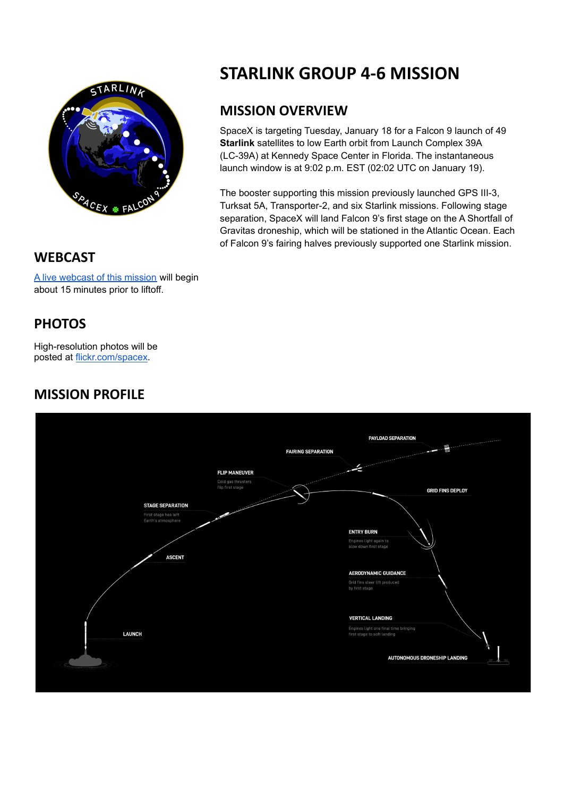

# **STARLINK GROUP 4-6 MISSION**

## **MISSION OVERVIEW**

SpaceX is targeting Tuesday, January 18 for a Falcon 9 launch of 49 **[Starlink](https://starlink.com/)** satellites to low Earth orbit from Launch Complex 39A (LC-39A) at Kennedy Space Center in Florida. The instantaneous launch window is at 9:02 p.m. EST (02:02 UTC on January 19).

The booster supporting this mission previously launched GPS III-3, Turksat 5A, Transporter-2, and six Starlink missions. Following stage separation, SpaceX will land Falcon 9's first stage on the A Shortfall of Gravitas droneship, which will be stationed in the Atlantic Ocean. Each of Falcon 9's fairing halves previously supported one Starlink mission.

#### **WEBCAST**

A live [webcast](https://www.youtube.com/watch?v=Yov854ZT1lg) of this mission will begin about 15 minutes prior to liftoff.

### **PHOTOS**

High-resolution photos will be posted at [flickr.com/spacex](https://www.flickr.com/spacex/).

### **MISSION PROFILE**